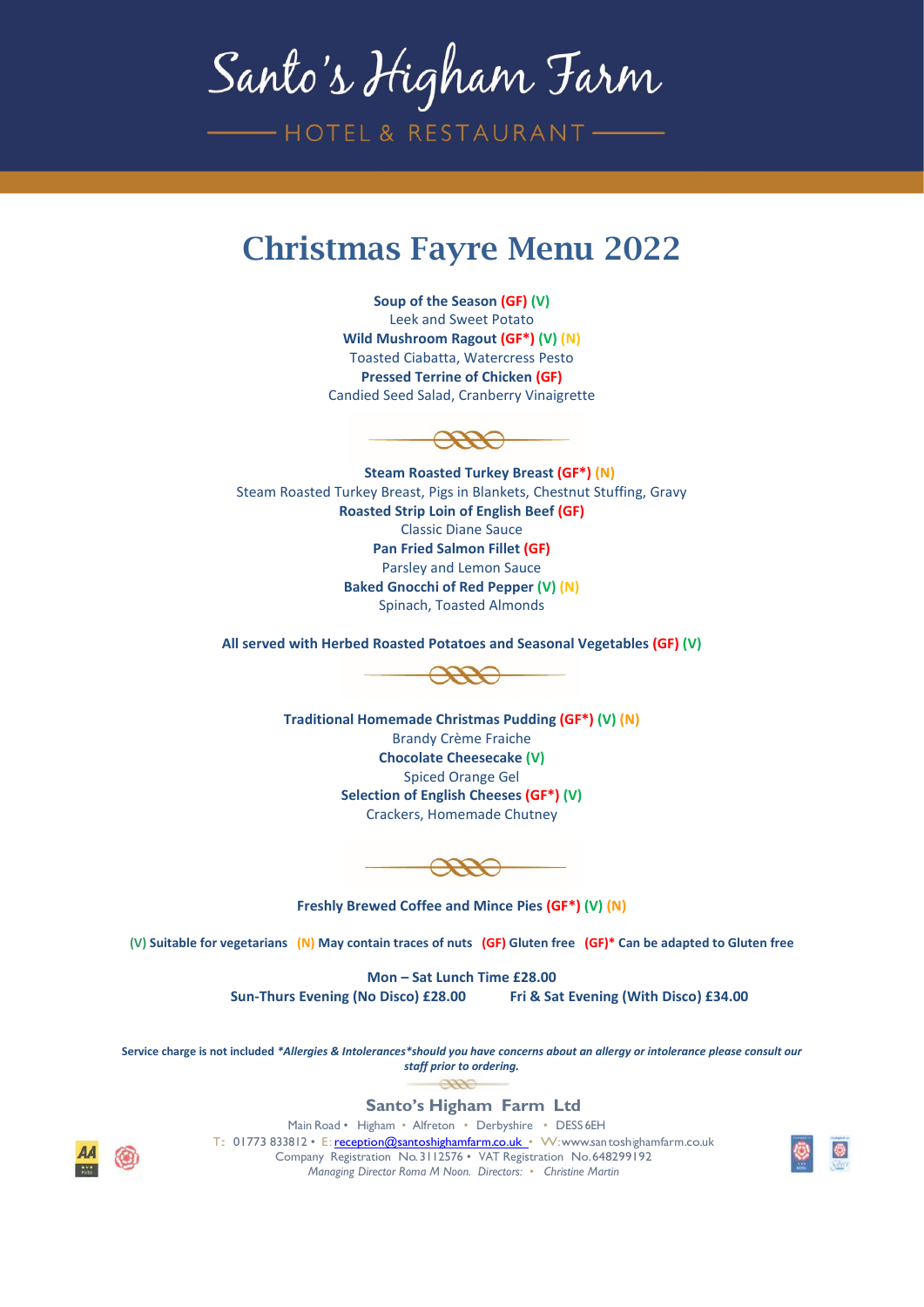Santo's Higham Farm

-HOTEL & RESTAURANT-

## Christmas Fayre Menu 2022

**Soup of the Season (GF) (V)** Leek and Sweet Potato **Wild Mushroom Ragout (GF\*) (V) (N)** Toasted Ciabatta, Watercress Pesto **Pressed Terrine of Chicken (GF)** Candied Seed Salad, Cranberry Vinaigrette



**Steam Roasted Turkey Breast (GF\*) (N)** Steam Roasted Turkey Breast, Pigs in Blankets, Chestnut Stuffing, Gravy **Roasted Strip Loin of English Beef (GF)** Classic Diane Sauce **Pan Fried Salmon Fillet (GF)** Parsley and Lemon Sauce **Baked Gnocchi of Red Pepper (V) (N)**  Spinach, Toasted Almonds

**All served with Herbed Roasted Potatoes and Seasonal Vegetables (GF) (V)**



**Traditional Homemade Christmas Pudding (GF\*) (V) (N)** Brandy Crème Fraiche **Chocolate Cheesecake (V)** Spiced Orange Gel **Selection of English Cheeses (GF\*) (V)** Crackers, Homemade Chutney

**Freshly Brewed Coffee and Mince Pies (GF\*) (V) (N)**

**(V) Suitable for vegetarians (N) May contain traces of nuts (GF) Gluten free (GF)\* Can be adapted to Gluten free**

**Mon – Sat Lunch Time £28.00 Sun-Thurs Evening (No Disco) £28.00 Fri & Sat Evening (With Disco) £34.00**

**Service charge is not included** *\*Allergies & Intolerances\*should you have concerns about an allergy or intolerance please consult our staff prior to ordering.*  $7772$ 

**Santo's Higham Farm Ltd**

Main Road • Higham • Alfreton • Derbyshire • DESS 6EH

T: 01773 833812 • E[:reception@santoshighamfarm.co.uk](mailto:reception@santoshighamfarm.co.uk) • W[:www.santoshighamfarm.co.uk](http://www.santoshighamfarm.co.uk/) Company Registration No.3112576 • VAT Registration No.648299192 *Managing Director Roma M Noon. Directors: • Christine Martin*